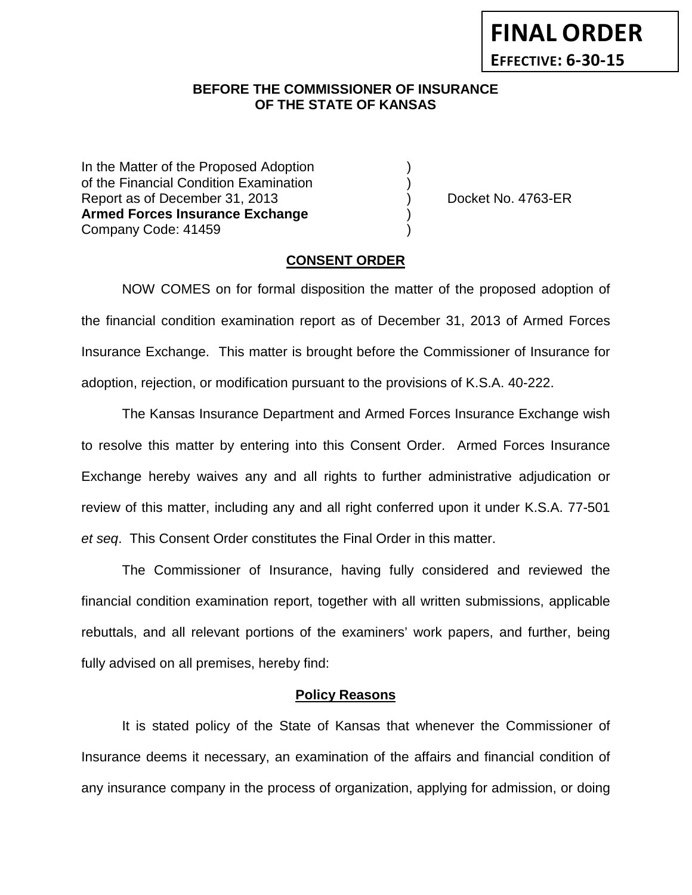## **BEFORE THE COMMISSIONER OF INSURANCE OF THE STATE OF KANSAS**

In the Matter of the Proposed Adoption of the Financial Condition Examination ) Report as of December 31, 2013 (and Separation Contract No. 4763-ER **Armed Forces Insurance Exchange** ) Company Code: 41459 )

### **CONSENT ORDER**

NOW COMES on for formal disposition the matter of the proposed adoption of the financial condition examination report as of December 31, 2013 of Armed Forces Insurance Exchange. This matter is brought before the Commissioner of Insurance for adoption, rejection, or modification pursuant to the provisions of K.S.A. 40-222.

The Kansas Insurance Department and Armed Forces Insurance Exchange wish to resolve this matter by entering into this Consent Order. Armed Forces Insurance Exchange hereby waives any and all rights to further administrative adjudication or review of this matter, including any and all right conferred upon it under K.S.A. 77-501 *et seq*. This Consent Order constitutes the Final Order in this matter.

The Commissioner of Insurance, having fully considered and reviewed the financial condition examination report, together with all written submissions, applicable rebuttals, and all relevant portions of the examiners' work papers, and further, being fully advised on all premises, hereby find:

### **Policy Reasons**

It is stated policy of the State of Kansas that whenever the Commissioner of Insurance deems it necessary, an examination of the affairs and financial condition of any insurance company in the process of organization, applying for admission, or doing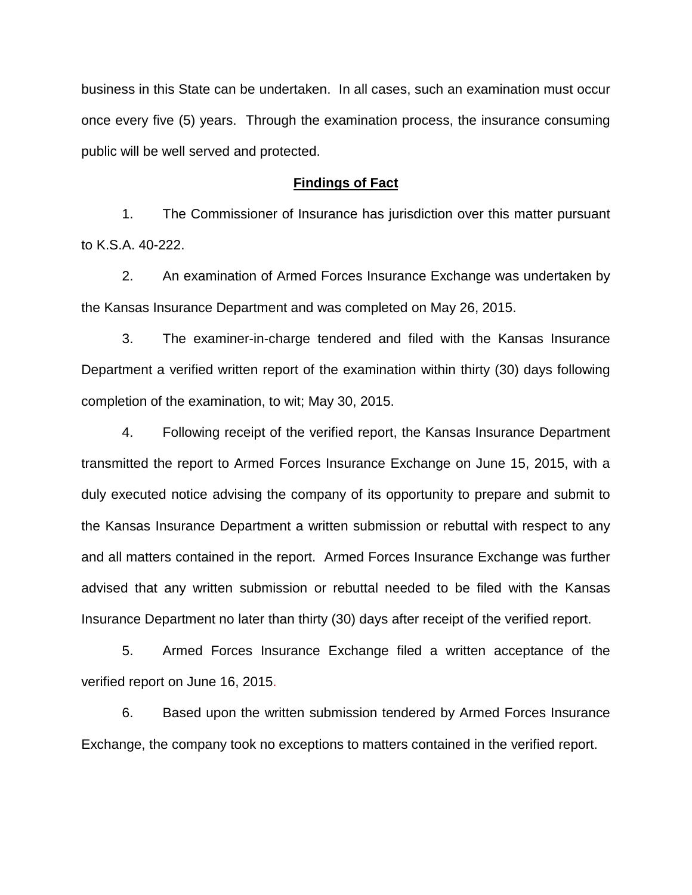business in this State can be undertaken. In all cases, such an examination must occur once every five (5) years. Through the examination process, the insurance consuming public will be well served and protected.

#### **Findings of Fact**

1. The Commissioner of Insurance has jurisdiction over this matter pursuant to K.S.A. 40-222.

2. An examination of Armed Forces Insurance Exchange was undertaken by the Kansas Insurance Department and was completed on May 26, 2015.

3. The examiner-in-charge tendered and filed with the Kansas Insurance Department a verified written report of the examination within thirty (30) days following completion of the examination, to wit; May 30, 2015.

4. Following receipt of the verified report, the Kansas Insurance Department transmitted the report to Armed Forces Insurance Exchange on June 15, 2015, with a duly executed notice advising the company of its opportunity to prepare and submit to the Kansas Insurance Department a written submission or rebuttal with respect to any and all matters contained in the report. Armed Forces Insurance Exchange was further advised that any written submission or rebuttal needed to be filed with the Kansas Insurance Department no later than thirty (30) days after receipt of the verified report.

5. Armed Forces Insurance Exchange filed a written acceptance of the verified report on June 16, 2015.

6. Based upon the written submission tendered by Armed Forces Insurance Exchange, the company took no exceptions to matters contained in the verified report.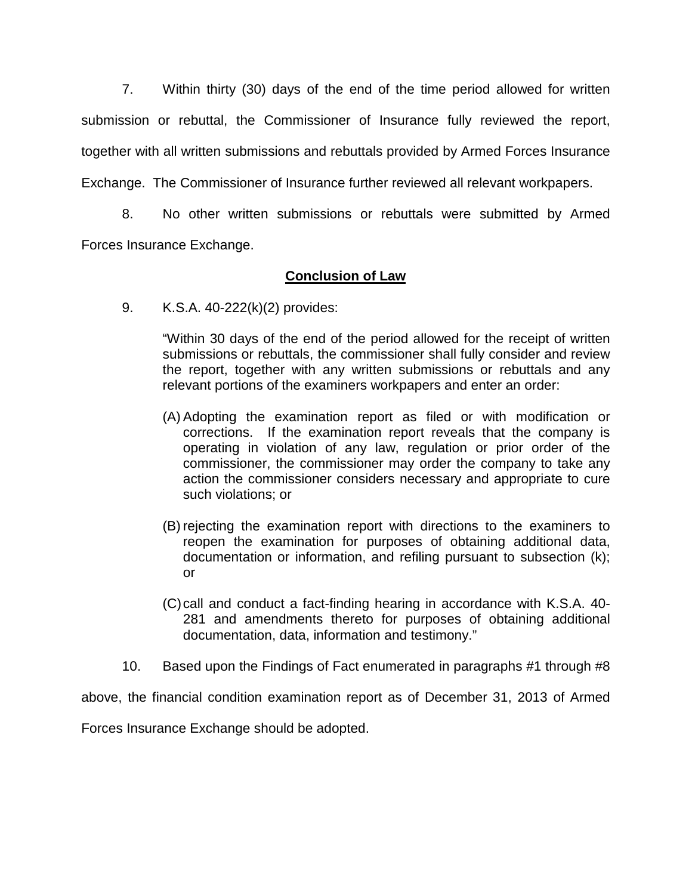7. Within thirty (30) days of the end of the time period allowed for written submission or rebuttal, the Commissioner of Insurance fully reviewed the report, together with all written submissions and rebuttals provided by Armed Forces Insurance Exchange. The Commissioner of Insurance further reviewed all relevant workpapers.

8. No other written submissions or rebuttals were submitted by Armed Forces Insurance Exchange.

# **Conclusion of Law**

9. K.S.A. 40-222(k)(2) provides:

"Within 30 days of the end of the period allowed for the receipt of written submissions or rebuttals, the commissioner shall fully consider and review the report, together with any written submissions or rebuttals and any relevant portions of the examiners workpapers and enter an order:

- (A) Adopting the examination report as filed or with modification or corrections. If the examination report reveals that the company is operating in violation of any law, regulation or prior order of the commissioner, the commissioner may order the company to take any action the commissioner considers necessary and appropriate to cure such violations; or
- (B) rejecting the examination report with directions to the examiners to reopen the examination for purposes of obtaining additional data, documentation or information, and refiling pursuant to subsection (k); or
- (C)call and conduct a fact-finding hearing in accordance with K.S.A. 40- 281 and amendments thereto for purposes of obtaining additional documentation, data, information and testimony."
- 10. Based upon the Findings of Fact enumerated in paragraphs #1 through #8

above, the financial condition examination report as of December 31, 2013 of Armed

Forces Insurance Exchange should be adopted.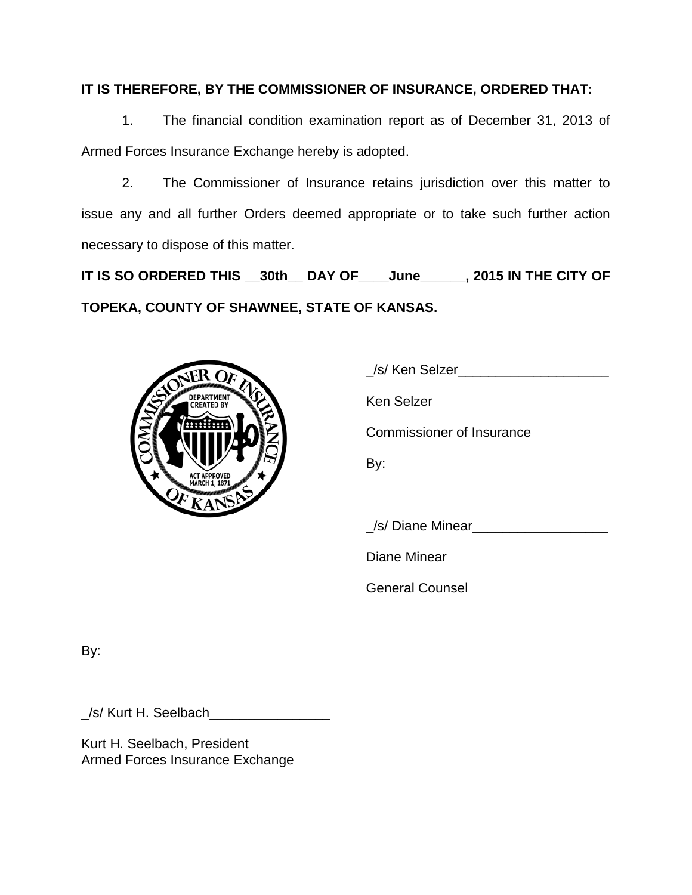# **IT IS THEREFORE, BY THE COMMISSIONER OF INSURANCE, ORDERED THAT:**

1. The financial condition examination report as of December 31, 2013 of Armed Forces Insurance Exchange hereby is adopted.

2. The Commissioner of Insurance retains jurisdiction over this matter to issue any and all further Orders deemed appropriate or to take such further action necessary to dispose of this matter.

**IT IS SO ORDERED THIS \_\_30th\_\_ DAY OF\_\_\_\_June\_\_\_\_\_\_, 2015 IN THE CITY OF TOPEKA, COUNTY OF SHAWNEE, STATE OF KANSAS.**



| /s/ Ken Selzer                   |
|----------------------------------|
| Ken Selzer                       |
| <b>Commissioner of Insurance</b> |
| By:                              |
|                                  |
| /s/ Diane Minear                 |
| Diane Minear                     |

General Counsel

By:

\_/s/ Kurt H. Seelbach\_\_\_\_\_\_\_\_\_\_\_\_\_\_\_\_

Kurt H. Seelbach, President Armed Forces Insurance Exchange